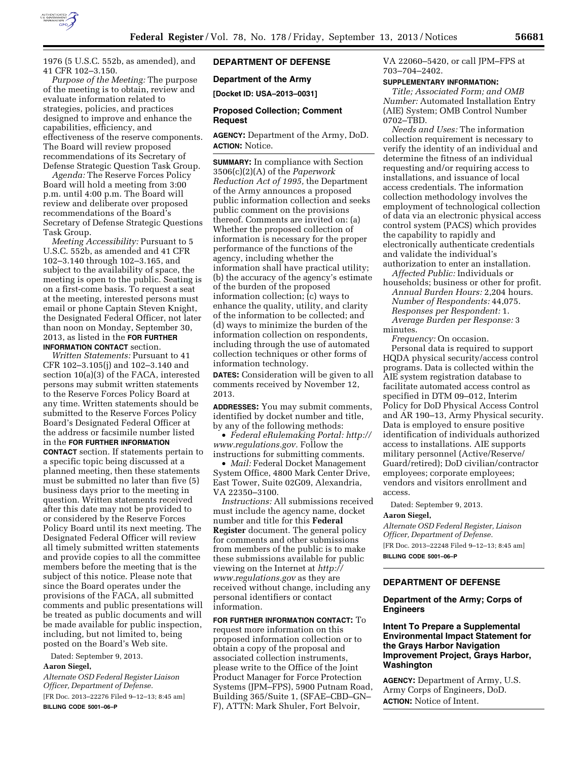

1976 (5 U.S.C. 552b, as amended), and 41 CFR 102–3.150.

*Purpose of the Meeting:* The purpose of the meeting is to obtain, review and evaluate information related to strategies, policies, and practices designed to improve and enhance the capabilities, efficiency, and effectiveness of the reserve components. The Board will review proposed recommendations of its Secretary of Defense Strategic Question Task Group.

*Agenda:* The Reserve Forces Policy Board will hold a meeting from 3:00 p.m. until 4:00 p.m. The Board will review and deliberate over proposed recommendations of the Board's Secretary of Defense Strategic Questions Task Group.

*Meeting Accessibility:* Pursuant to 5 U.S.C. 552b, as amended and 41 CFR 102–3.140 through 102–3.165, and subject to the availability of space, the meeting is open to the public. Seating is on a first-come basis. To request a seat at the meeting, interested persons must email or phone Captain Steven Knight, the Designated Federal Officer, not later than noon on Monday, September 30, 2013, as listed in the **FOR FURTHER INFORMATION CONTACT** section.

*Written Statements:* Pursuant to 41 CFR 102–3.105(j) and 102–3.140 and section 10(a)(3) of the FACA, interested persons may submit written statements to the Reserve Forces Policy Board at any time. Written statements should be submitted to the Reserve Forces Policy Board's Designated Federal Officer at the address or facsimile number listed in the **FOR FURTHER INFORMATION CONTACT** section. If statements pertain to a specific topic being discussed at a planned meeting, then these statements must be submitted no later than five (5) business days prior to the meeting in question. Written statements received after this date may not be provided to or considered by the Reserve Forces Policy Board until its next meeting. The Designated Federal Officer will review all timely submitted written statements and provide copies to all the committee members before the meeting that is the subject of this notice. Please note that since the Board operates under the provisions of the FACA, all submitted comments and public presentations will be treated as public documents and will be made available for public inspection, including, but not limited to, being posted on the Board's Web site.

Dated: September 9, 2013.

### **Aaron Siegel,**

*Alternate OSD Federal Register Liaison Officer, Department of Defense.* 

[FR Doc. 2013–22276 Filed 9–12–13; 8:45 am] **BILLING CODE 5001–06–P** 

# **DEPARTMENT OF DEFENSE**

#### **Department of the Army**

**[Docket ID: USA–2013–0031]** 

## **Proposed Collection; Comment Request**

**AGENCY:** Department of the Army, DoD. **ACTION:** Notice.

**SUMMARY:** In compliance with Section 3506(c)(2)(A) of the *Paperwork Reduction Act of 1995,* the Department of the Army announces a proposed public information collection and seeks public comment on the provisions thereof. Comments are invited on: (a) Whether the proposed collection of information is necessary for the proper performance of the functions of the agency, including whether the information shall have practical utility; (b) the accuracy of the agency's estimate of the burden of the proposed information collection; (c) ways to enhance the quality, utility, and clarity of the information to be collected; and (d) ways to minimize the burden of the information collection on respondents, including through the use of automated collection techniques or other forms of information technology.

**DATES:** Consideration will be given to all comments received by November 12, 2013.

**ADDRESSES:** You may submit comments, identified by docket number and title, by any of the following methods:

• *Federal eRulemaking Portal: [http://](http://www.regulations.gov)  [www.regulations.gov.](http://www.regulations.gov)* Follow the instructions for submitting comments.

• *Mail:* Federal Docket Management System Office, 4800 Mark Center Drive, East Tower, Suite 02G09, Alexandria, VA 22350–3100.

*Instructions:* All submissions received must include the agency name, docket number and title for this **Federal Register** document. The general policy for comments and other submissions from members of the public is to make these submissions available for public viewing on the Internet at *[http://](http://www.regulations.gov) [www.regulations.gov](http://www.regulations.gov)* as they are received without change, including any personal identifiers or contact information.

**FOR FURTHER INFORMATION CONTACT:** To request more information on this proposed information collection or to obtain a copy of the proposal and associated collection instruments, please write to the Office of the Joint Product Manager for Force Protection Systems (JPM–FPS), 5900 Putnam Road, Building 365/Suite 1, (SFAE–CBD–GN– F), ATTN: Mark Shuler, Fort Belvoir,

VA 22060–5420, or call JPM–FPS at 703–704–2402.

#### **SUPPLEMENTARY INFORMATION:**

*Title; Associated Form; and OMB Number:* Automated Installation Entry (AIE) System; OMB Control Number 0702–TBD.

*Needs and Uses:* The information collection requirement is necessary to verify the identity of an individual and determine the fitness of an individual requesting and/or requiring access to installations, and issuance of local access credentials. The information collection methodology involves the employment of technological collection of data via an electronic physical access control system (PACS) which provides the capability to rapidly and electronically authenticate credentials and validate the individual's authorization to enter an installation.

*Affected Public:* Individuals or

households; business or other for profit. *Annual Burden Hours:* 2,204 hours. *Number of Respondents:* 44,075. *Responses per Respondent:* 1. *Average Burden per Response:* 3 minutes.

*Frequency:* On occasion. Personal data is required to support HQDA physical security/access control programs. Data is collected within the AIE system registration database to facilitate automated access control as specified in DTM 09–012, Interim Policy for DoD Physical Access Control and AR 190–13, Army Physical security. Data is employed to ensure positive identification of individuals authorized access to installations. AIE supports military personnel (Active/Reserve/ Guard/retired); DoD civilian/contractor employees; corporate employees; vendors and visitors enrollment and access.

Dated: September 9, 2013.

#### **Aaron Siegel,**

*Alternate OSD Federal Register, Liaison Officer, Department of Defense.*  [FR Doc. 2013–22248 Filed 9–12–13; 8:45 am] **BILLING CODE 5001–06–P** 

# **DEPARTMENT OF DEFENSE**

## **Department of the Army; Corps of Engineers**

# **Intent To Prepare a Supplemental Environmental Impact Statement for the Grays Harbor Navigation Improvement Project, Grays Harbor, Washington**

**AGENCY:** Department of Army, U.S. Army Corps of Engineers, DoD. **ACTION:** Notice of Intent.